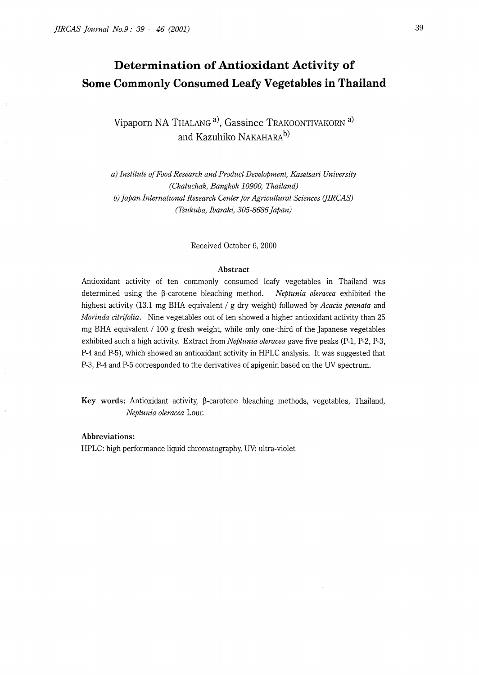# **Determination of Antioxidant Activity of Some Commonly Consumed Leafy Vegetables in Thailand**

**Vipaporn NA** THALANG a), **Gassinee** TRAKOONTIVAKORN a) **and Kazuhiko** NAKAHARAb)

*a) Institute of Food Research and Product Development, Kasetsart University (Chatuchak, Bangkok 10900, Thailand) b) Japan International Research Center for Agricultural Sciences (JIRCAS) (Tsukuba, Ibaraki, 305-8686 Japan)* 

Received October 6, 2000

#### **Abstract**

Antioxidant activity of ten commonly consumed leafy vegetables in Thailand was determined using the  $\beta$ -carotene bleaching method. *Neptunia oleracea* exhibited the highest activity (13.1 mg BHA equivalent/ g dry weight) followed by *Acacia pennata* and *Marinda citrifolia.* Nine vegetables out of ten showed a higher antioxidant activity than 25 mg BHA equivalent/ 100 g fresh weight, while only one-third of the Japanese vegetables exhibited such a high activity. Extract from *Neptunia oleracea* gave five peaks (P-1, P-2, P-3, P-4 and P-5), which showed an antioxidant activity in HPLC analysis. It was suggested that P-3, P-4 and P-5 corresponded to the derivatives of apigenin based on the UV spectrum.

Key words: Antioxidant activity,  $\beta$ -carotene bleaching methods, vegetables, Thailand, *Neptunia oleracea* Lour.

**Abbreviations:**  HPLC: high performance liquid chromatography, UV: ultra-violet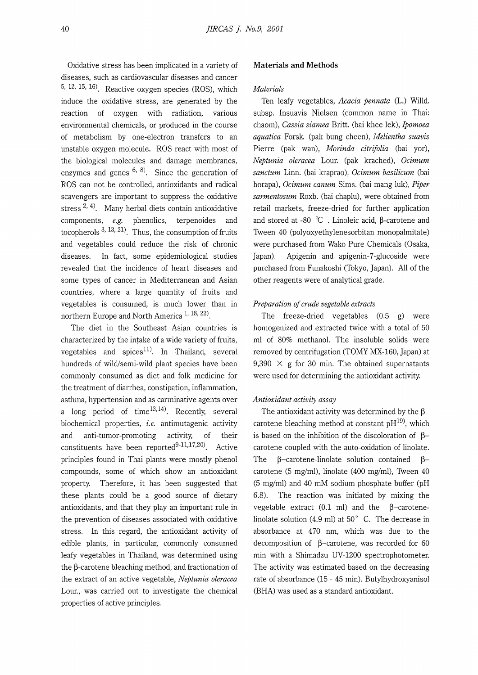Oxidative stress has been implicated in a variety of diseases, such as cardiovascular diseases and cancer 5, 12, 15, 16). Reactive oxygen species (ROS), which induce the oxidative stress, are generated by the reaction of oxygen with radiation, various environmental chemicals, or produced in the course of metabolism by one-electron transfers to an unstable oxygen molecule. ROS react with most of the biological molecules and damage membranes, enzymes and genes  $6, 8$ . Since the generation of ROS can not be controlled, antioxidants and radical scavengers are important to suppress the oxidative stress  $^{2, 4}$ . Many herbal diets contain antioxidative components, *e.g.* phenolics, terpenoides and tocopherols  $3, 13, 21$ . Thus, the consumption of fruits and vegetables could reduce the risk of chronic diseases. In fact, some epidemiological studies revealed that the incidence of heart diseases and some types of cancer in Mediterranean and Asian countries, where a large quantity of fruits and vegetables is consumed, is much lower than in northern Europe and North America  $1, 18, 22$ .

The diet in the Southeast Asian countries is characterized by the intake of a wide variety of fruits, vegetables and spices<sup>11)</sup>. In Thailand, several hundreds of wild/semi-wild plant species have been commonly consumed as diet and folk medicine for the treatment of diarrhea, constipation, inflammation, asthma, hypertension and as carminative agents over a long period of time<sup>13,14</sup>. Recently, several biochemical properties, *i.e.* antimutagenic activity and anti-tumor-promoting activity, of their constituents have been reported $9-11,17,20$ . Active principles found in Thai plants were mostly phenol compounds, some of which show an antioxidant property. Therefore, it has been suggested that these plants could be a good source of dietary antioxidants, and that they play an important role in the prevention of diseases associated with oxidative stress. In this regard, the antioxidant activity of edible plants, in particular, commonly consumed leafy vegetables in Thailand, was determined using the  $\beta$ -carotene bleaching method, and fractionation of the extract of an active vegetable, *Neptunia oleracea*  Lour., was carried out to investigate the chemical properties of active principles.

# **Materials and Methods**

#### *Materials*

Ten leafy vegetables, *Acacia pennata* (L.) Willd. subsp. Insuavis Nielsen (common name in Thai: chaom), *Cassia siamea* Britt. (bai khee lek), *Jpomoea aquatica* Forsk (pak bung cheen), *Melientha suavis*  Pierre (pak wan), *Marinda citrifolia* (bai yor), *Neptunia oleracea* Lour. (pak krached), *Ocimum sanctum* Linn. (bai kraprao), *Ocimum basilicum* (bai horapa), *Ocimum canum* Sims. (bai mang luk), *Piper sarmentosum* Roxb. (bai chaplu), were obtained from retail markets, freeze-dried for further application and stored at -80  $^{\circ}$ C. Linoleic acid,  $\beta$ -carotene and Tween 40 (polyoxyethylenesorbitan monopalmitate) were purchased from Wako Pure Chemicals (Osaka, Japan). Apigenin and apigenin-7-glucoside were purchased from Funakoshi (Tokyo, Japan). All of the other reagents were of analytical grade.

#### *Preparation of crude vegetable extracts*

The freeze-dried vegetables (0.5 g) were homogenized and extracted twice with a total of 50 ml of 80% methanol. The insoluble solids were removed by centrifugation (TOMY MX-160, Japan) at 9,390  $\times$  g for 30 min. The obtained supernatants were used for determining the antioxidant activity.

# *Antioxidant activity assay*

The antioxidant activity was determined by the  $\beta$ carotene bleaching method at constant  $pH^{19}$ , which is based on the inhibition of the discoloration of  $\beta$ carotene coupled with the auto-oxidation of linolate. The  $\beta$ -carotene-linolate solution contained  $\beta$ carotene (5 mg/ml), linolate (400 mg/ml), Tween 40 (5 mg/ml) and 40 mM sodium phosphate buffer (pH 6.8). The reaction was initiated by mixing the vegetable extract  $(0.1 \text{ ml})$  and the  $\beta$ -carotenelinolate solution (4.9 ml) at 50° C. The decrease in absorbance at 470 nm, which was due to the decomposition of  $\beta$ -carotene, was recorded for 60 min with a Shimadzu UV-1200 spectrophotometer. The activity was estimated based on the decreasing rate of absorbance (15 - 45 min). Butylhydroxyanisol (BHA) was used as a standard antioxidant.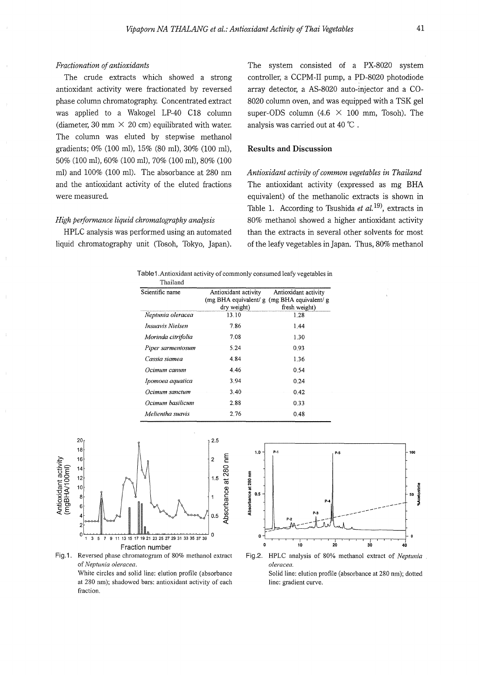### *Fractionation of antioxidants*

The crude extracts which showed a strong antioxidant activity were fractionated by reversed phase column chromatography. Concentrated extract was applied to a Wakogel LP-40 C18 column (diameter, 30 mm  $\times$  20 cm) equilibrated with water. The column was eluted by stepwise methanol gradients; 0% (100 ml), 15% (80 ml), 30% (100 ml), 50% (100 ml), 60% (100 ml), 70% (100 ml), 80% (100 ml) and 100% (100 ml). The absorbance at 280 nm and the antioxidant activity of the eluted fractions were measured.

# *High performance liquid chromatography analysis*

HPLC analysis was performed using an automated liquid chromatography unit (Tosoh, Tokyo, Japan). The system consisted of a PX-8020 system controller, a CCPM-II pump, a PD-8020 photodiode array detector, a AS-8020 auto-injector and a C0- 8020 column oven, and was equipped with a TSK gel super-ODS column  $(4.6 \times 100 \text{ mm}$ . Tosoh). The analysis was carried out at 40 °C .

# **Results and Discussion**

*Antioxidant activity of common vegetables in Thailand*  The antioxidant activity (expressed as mg BHA equivalent) of the methanolic extracts is shown in Table 1. According to Tsushida *et al. 19),* extracts in 80% methanol showed a higher antioxidant activity than the extracts in several other solvents for most of the leafy vegetables in Japan. Thus, 80% methanol

| Scientific name    | Antioxidant activity<br>(mg BHA equivalent/ $g$ (mg BHA equivalent/ $g$ )<br>dry weight) | Antioxidant activity<br>fresh weight) |
|--------------------|------------------------------------------------------------------------------------------|---------------------------------------|
| Neptunia oleracea  | 13.10                                                                                    | 1.28                                  |
| Insuavis Nielsen   | 7.86                                                                                     | 1.44                                  |
| Morinda citrifolia | 7.08                                                                                     | 1.30                                  |
| Piper sarmentosum  | 5.24                                                                                     | 0.93                                  |
| Cassia siamea      | 4.84                                                                                     | 1.36                                  |
| Осітит сапит       | 4.46                                                                                     | 0.54                                  |
| Ipomoea aquatica   | 3.94                                                                                     | 0.24                                  |
| Ocimum sanctum     | 3.40                                                                                     | 0.42                                  |
| Ocimum basilicum   | 2.88                                                                                     | 0.33                                  |
| Melientha suavis   | 2.76                                                                                     | 0.48                                  |





White circles and solid line: elution profile (absorbance at 280 nm); shadowed bars: antioxidant activity of each fraction.



Fig.2. HPLC analysis of 80% methanol extract of *Neptunia oleracea.*  Solid line: elution profile (absorbance at 280 nm); dotted line: gradient curve.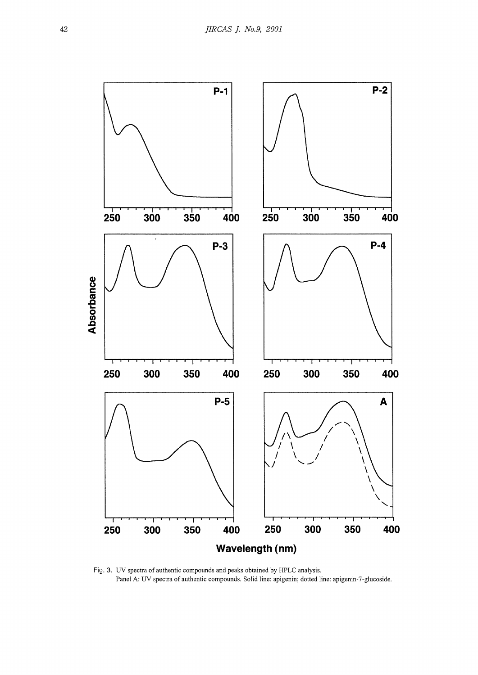

Fig. 3. UV spectra of authentic compounds and peaks obtained by HPLC analysis. Panel A: UV spectra of authentic compounds. Solid line: apigenin; dotted line: apigenin-7-glucoside.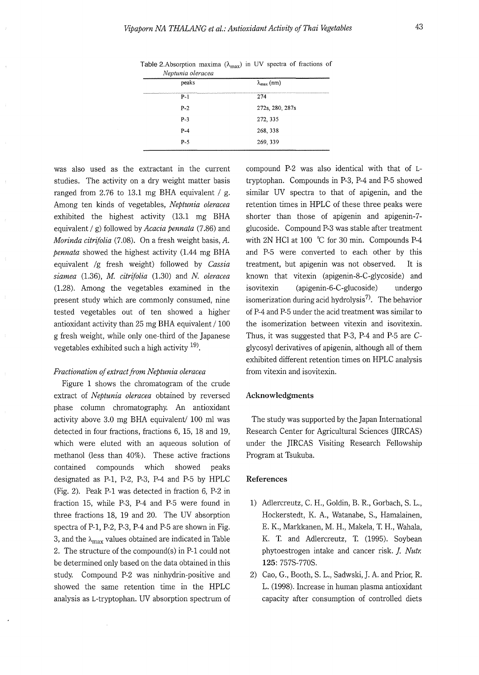| <i>ivepianua oteracca</i> |                                                                                                                                                                                                                                       |
|---------------------------|---------------------------------------------------------------------------------------------------------------------------------------------------------------------------------------------------------------------------------------|
| peaks                     | $\lambda_{\max}$ (nm)                                                                                                                                                                                                                 |
| P-1                       | The contract of the company and company and contract and contract of the contract of the second contract of the second articles and the contract of the contract of the contract of the contract of the contract of the contra<br>274 |
| $P-2$                     | 272s, 280, 287s                                                                                                                                                                                                                       |
| $P-3$                     | 272, 335                                                                                                                                                                                                                              |
| $P-4$                     | 268, 338                                                                                                                                                                                                                              |
| $P-5$                     | 269, 339                                                                                                                                                                                                                              |
|                           |                                                                                                                                                                                                                                       |

Table 2.Absorption maxima  $(\lambda_{\text{max}})$  in UV spectra of fractions of *Neptzmia oleracea* 

was also used as the extractant in the current studies. The activity on a dry weight matter basis ranged from 2.76 to 13.1 mg BHA equivalent / g. Among ten kinds of vegetables, *Neptunia oleracea*  exhibited the highest activity (13.l mg BHA equivalent/ g) followed by *Acacia pennata* (7.86) and *Marinda citrifolia* (7.08). On a fresh weight basis, A. *pennata* showed the highest activity (1.44 mg BHA equivalent /g fresh weight) followed by *Cassia siamea* (1.36), *M citrifolia* (1.30) and *N. oleracea*  (1.28). Among the vegetables examined in the present study which are commonly consumed, nine tested vegetables out of ten showed a higher antioxidant activity than 25 mg BHA equivalent/ 100 g fresh weight, while only one-third of the Japanese vegetables exhibited such a high activity  $19$ .

## *Fractionation of extract from Neptunia oleracea*

Figure 1 shows the chromatogram of the crude extract of *Neptunia oleracea* obtained by reversed phase column chromatography. An antioxidant activity above 3.0 mg BHA equivalent/ 100 ml was detected in four fractions, fractions 6, 15, 18 and 19, which were eluted with an aqueous solution of methanol (less than 40%). These active fractions contained compounds which showed peaks designated as P-1, P-2, P-3, P-4 and P-5 by HPLC (Fig. 2). Peak P-1 was detected in fraction 6, P-2 in fraction 15, while P-3, P-4 and P-5 were found in three fractions 18, 19 and 20. The UV absorption spectra of P-1, P-2, P-3, P-4 and P-5 are shown in Fig. 3, and the  $\lambda_{\text{max}}$  values obtained are indicated in Table 2. The structure of the compound(s) in P-1 could not be determined only based on the data obtained in this study. Compound P-2 was ninhydrin-positive and showed the same retention time in the HPLC analysis as L-tryptophan. UV absorption spectrum of compound P-2 was also identical with that of Ltryptophan. Compounds in P-3, P-4 and P-5 showed similar UV spectra to that of apigenin, and the retention times in HPLC of these three peaks were shorter than those of apigenin and apigenin-7 glucoside. Compound P-3 was stable after treatment with 2N HCl at 100 °C for 30 min. Compounds P-4 and P-5 were converted to each other by this treatment, but apigenin was not observed. It is known that vitexin (apigenin-8-C-glycoside) and isovitexin (apigenin-6-C-glucoside) undergo isomerization during acid hydrolysis<sup>7)</sup>. The behavior of P-4 and P-5 under the acid treatment was similar to the isomerization between vitexin and isovitexin. Thus, it was suggested that P-3, P-4 and P-5 are Cglycosyl derivatives of apigenin, although all of them exhibited different retention times on HPLC analysis from vitexin and isovitexin.

# **Acknowledgments**

The study was supported by the Japan International Research Center for Agricultural Sciences (JIRCAS) under the JIRCAS Visiting Research Fellowship Program at Tsukuba.

#### **References**

- 1) Adlercreutz, C. H., Goldin, B. R., Gorbach, S. L., Hockerstedt, K. A., Watanabe, S., Hamalainen, E. K., Markkanen, M. H., Makela, T. H., Wahala, K. T. and Adlercreutz, T. (1995). Soybean phytoestrogen intake and cancer risk. *]. Nutr.*  **125:** 757S-770S.
- 2) Cao, G., Booth, S. L., Sadwski, J. A. and Prior, R. L. (1998). Increase in human plasma antioxidant capacity after consumption of controlled diets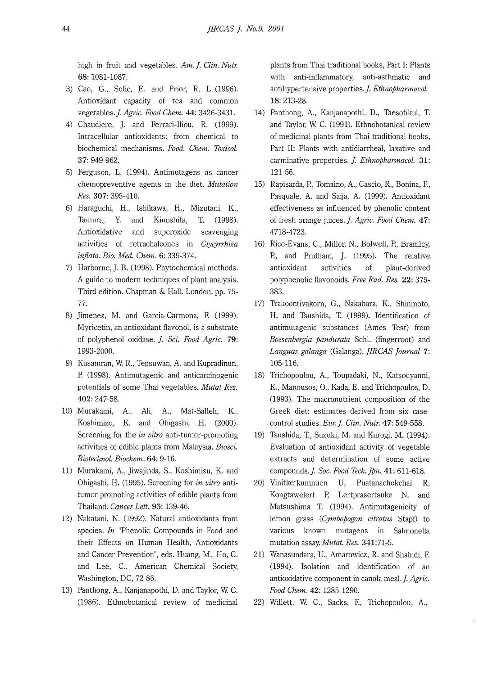high in fruit and vegetables. Am. J. Clin. Nutr. **68:** 1081-1087.

- 3) Cao, G., Sofie, E. and Prior, R. L. (1996). Antioxidant capacity of tea and common vegetables.]. *Agric. Food Chem.* **44:** 3426-3431.
- 4) Chaudiere, J. and Ferrari-Iliou, R. (1999). Intracellular antioxidants: from chemical to biochemical mechanisms. *Food. Chem. Toxicol.*  **37:** 949-962.
- 5) Ferguson, L. (1994). Antimutagens as cancer chemopreventive agents in the diet. *Mutation Res.* **307:** 395-410.
- 6) Haraguchi, H., Ishikawa, H., Mizutani, K., Tamura, Y. and Kinoshita, T. (1998). Antioxidative and superoxide scavenging activities of retrachalcones in *Glycyrrhiza inflata. Bio. Med. Chem.* **6:** 339-374.
- 7) Harborne, J. B. (1998). Phytochemical methods. A guide to modern techniques of plant analysis. Third edition. Chapman & Hall. London. pp. 75- 77.
- 8) Jimenez, M. and Garcia-Carmona, E (1999). Myricetin, an antioxidant flavonol, is a substrate of polyphenol oxidase. *J. Sci. Food Agric.* **79:**  1993-2000.
- 9) Kusamran, W. R., Tepsuwan, A and Kupradinun, P. (1998). Antimutagenic and anticarcinogenic potentials of some Thai vegetables. *Mutat Res.*  **402:** 247-58.
- 10) Murakami, A, Ali, Koshimizu, K. and Ohigashi, H. (2000). A., Mat-Salleh, K., Screening for the *in vitro* anti-tumor-promoting activities of edible plants from Malaysia. *Biosci. Biotechnol. Biochem.* **64:** 9-16.
- 11) Murakami, A, Jiwajinda, S., Koshimizu, K. and Ohigashi, H. (1995). Screening for *in vitro* antitumor promoting activities of edible plants from Thailand. *Cancer Lett.* **95:** 139-46.
- 12) Nakatani, N. (1992). Natural antioxidants from species. *In* "Phenolic Compounds in Food and their Effects on Human Health, Antioxidants and Cancer Prevention", eds. Huang, M., Ho, C. and Lee, C., American Chemical Society, Washington, DC, 72-86.
- 13) Panthong, A, Kanjanapothi, D. and Taylor, W. C. (1986). Ethnobotanical review of medicinal

plants from Thai traditional books, Part I: Plants with anti-inflammatory, anti-asthmatic and antihypertensive properties. *J. Ethnopharmacol.* **18:** 213-28.

- 14) Panthong, A., Kanjanapothi, D., Taesotikul, T. and Taylor, W. C. (1991). Ethnobotanical review of medicinal plants from Thai traditional books, Part II: Plants with antidiarrheal, laxative and carminative properties. *J. Ethnopharmacol.* **31:**  121-56.
- 15) Rapisarda, P., Tomaino, A., Cascio, R., Bonina, E, Pasquale, A. and Saija, A. (1999). Antioxidant effectiveness as influenced by phenolic content of fresh orange juices. *J. Agric. Food Chem.* **47:**  4718-4723.
- 16) Rice-Evans, C., Miller, N., Bolwell, P., Bramley, P., and Pridham, J. (1995). The relative antioxidant activities of plant-derived polyphenolic flavonoids. *Free Rad. Res.* **22:** 375- 383.
- 17) Trakoontivakorn, G., Nakahara, K., Shinmoto, H. and Tsushida, T. (1999). Identification of antimutagenic substances (Ames Test) from *Boesenbergia pandurata* Sehl. (fingerroot) and *Languas galanga* (Galanga). *JIRCAS Journal* **7:**  105-116.
- 18) Trichopoulou, A., Toupadaki, N., Katsouyanni, K., Manousos, 0., Kada, E. and Trichopoulos, D. (1993). The macronutrient composition of the Greek diet: estimates derived from six casecontrol studies. *Eur. J. Clin. Nutr.* **47**: 549-558.
- 19) Tsushida, T., Suzuki, M. and Kurogi, M. (1994). Evaluation of antioxidant activity of vegetable extracts and determination of some active compounds.]. *Soc. Food Tech. Jpn.* **41:** 611-618.
- 20) Vinitketkumnuen U, Puatanachokchai R, Kongtawelert P, Lertprasertsuke N. and Matsushima T. (1994). Antimutagenicity of lemon grass ( *Cymbopogon citratus* Stapf) to various known mutagens in Salmonella mutation assay. *Mutat. Res.* 341:71-5.
- 21) Wanasundara, U., Amarowicz, R. and Shahidi, E (1994). Isolation and identification of an antioxidative component in canola meal. *J. Agric*. *Food Chem.* **42:** 1285-1290.
- 22) Willett. W. C., Sacks, E, Trichopoulou, A.,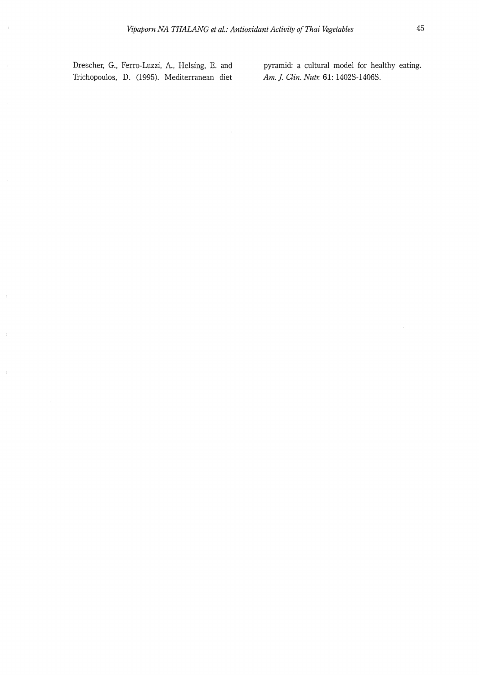Drescher, G., Ferro-Luzzi, A., Helsing, E. and Trichopoulos, D. (1995). Mediterranean diet

 $\hat{\boldsymbol{\tau}}$ 

pyramid: a cultural model for healthy eating. *Am.]. Clin. Nutr.* **61:** 1402S-1406S.